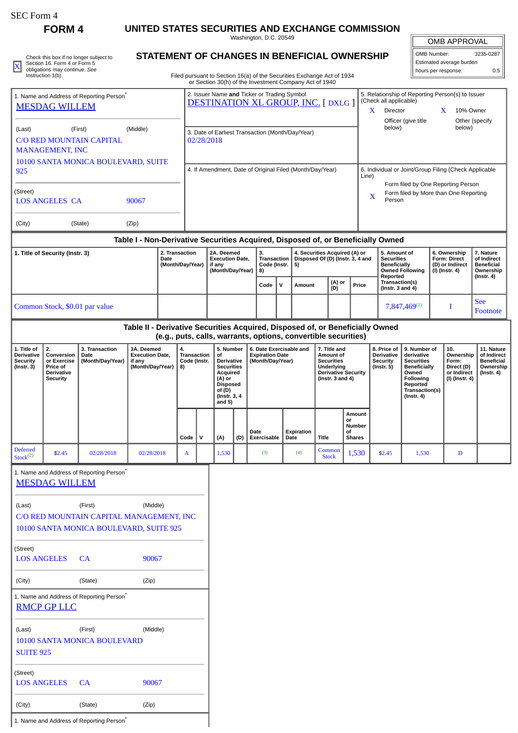|  | SEC Form 4 |  |
|--|------------|--|
|--|------------|--|

**FORM 4 UNITED STATES SECURITIES AND EXCHANGE COMMISSION**

Washington, D.C. 20549

| Check this box if no longer subject to             | STATEMENT OF CHANGES IN BENEFICIAL OWNERSHIP                           | OMB Number:              | 3235-0287 |
|----------------------------------------------------|------------------------------------------------------------------------|--------------------------|-----------|
| Section 16, Form 4 or Form 5                       |                                                                        | Estimated average burden |           |
| obligations may continue. See<br>Instruction 1(b). | Filed pursuant to Section 16(a) of the Securities Exchange Act of 1934 | '  hours per response:   |           |
|                                                    |                                                                        |                          |           |

## **STATEMENT OF CHANGES IN BENEFICIAL OWNERSHIP**

or Section 30(h) of the Investment Company Act of 1940

| <b>OMB APPROVAL</b>      |           |  |  |  |  |
|--------------------------|-----------|--|--|--|--|
| OMB Number:              | 3235-0287 |  |  |  |  |
| Estimated average burden |           |  |  |  |  |
| hours per response:      | 0.5       |  |  |  |  |

|                                                                                                                                   |                                                                                     |                                                                                                                                                                                                                                                                                                                                                                                                                                                                                                  |                                                                                                                                                                                                           |                                            |                                                                    |                                                           |                                                                                                                                                |     | or Section 30(h) of the Investment Company Act of 1940                   |                                                                                 |                    |                                          |                                        |                                                                                            |                                                              |                                                            |        |                |                        |  |
|-----------------------------------------------------------------------------------------------------------------------------------|-------------------------------------------------------------------------------------|--------------------------------------------------------------------------------------------------------------------------------------------------------------------------------------------------------------------------------------------------------------------------------------------------------------------------------------------------------------------------------------------------------------------------------------------------------------------------------------------------|-----------------------------------------------------------------------------------------------------------------------------------------------------------------------------------------------------------|--------------------------------------------|--------------------------------------------------------------------|-----------------------------------------------------------|------------------------------------------------------------------------------------------------------------------------------------------------|-----|--------------------------------------------------------------------------|---------------------------------------------------------------------------------|--------------------|------------------------------------------|----------------------------------------|--------------------------------------------------------------------------------------------|--------------------------------------------------------------|------------------------------------------------------------|--------|----------------|------------------------|--|
| 1. Name and Address of Reporting Person <sup>®</sup><br><b>MESDAG WILLEM</b>                                                      |                                                                                     |                                                                                                                                                                                                                                                                                                                                                                                                                                                                                                  | 2. Issuer Name and Ticker or Trading Symbol<br>5. Relationship of Reporting Person(s) to Issuer<br>(Check all applicable)<br><b>DESTINATION XL GROUP, INC. [DXLG ]</b><br>Director<br>10% Owner<br>X<br>X |                                            |                                                                    |                                                           |                                                                                                                                                |     |                                                                          |                                                                                 |                    |                                          |                                        |                                                                                            |                                                              |                                                            |        |                |                        |  |
| (Middle)<br>(Last)<br>(First)<br><b>C/O RED MOUNTAIN CAPITAL</b><br><b>MANAGEMENT, INC</b><br>10100 SANTA MONICA BOULEVARD, SUITE |                                                                                     |                                                                                                                                                                                                                                                                                                                                                                                                                                                                                                  |                                                                                                                                                                                                           |                                            | 3. Date of Earliest Transaction (Month/Day/Year)<br>02/28/2018     |                                                           |                                                                                                                                                |     |                                                                          |                                                                                 |                    |                                          |                                        |                                                                                            | Officer (give title<br>below)                                |                                                            | below) | Other (specify |                        |  |
| 925                                                                                                                               |                                                                                     |                                                                                                                                                                                                                                                                                                                                                                                                                                                                                                  |                                                                                                                                                                                                           |                                            | 4. If Amendment, Date of Original Filed (Month/Day/Year)           |                                                           |                                                                                                                                                |     |                                                                          |                                                                                 |                    |                                          |                                        | 6. Individual or Joint/Group Filing (Check Applicable<br>Line)                             |                                                              |                                                            |        |                |                        |  |
| (Street)<br><b>LOS ANGELES CA</b><br>90067                                                                                        |                                                                                     |                                                                                                                                                                                                                                                                                                                                                                                                                                                                                                  |                                                                                                                                                                                                           |                                            |                                                                    |                                                           |                                                                                                                                                |     |                                                                          |                                                                                 |                    |                                          |                                        | Form filed by One Reporting Person<br>Form filed by More than One Reporting<br>X<br>Person |                                                              |                                                            |        |                |                        |  |
| (City)                                                                                                                            |                                                                                     | (State)                                                                                                                                                                                                                                                                                                                                                                                                                                                                                          | (Zip)                                                                                                                                                                                                     |                                            |                                                                    |                                                           |                                                                                                                                                |     |                                                                          |                                                                                 |                    |                                          |                                        |                                                                                            |                                                              |                                                            |        |                |                        |  |
|                                                                                                                                   |                                                                                     |                                                                                                                                                                                                                                                                                                                                                                                                                                                                                                  | Table I - Non-Derivative Securities Acquired, Disposed of, or Beneficially Owned                                                                                                                          |                                            |                                                                    |                                                           |                                                                                                                                                |     |                                                                          |                                                                                 |                    |                                          |                                        |                                                                                            |                                                              |                                                            |        |                |                        |  |
|                                                                                                                                   | 1. Title of Security (Instr. 3)                                                     |                                                                                                                                                                                                                                                                                                                                                                                                                                                                                                  |                                                                                                                                                                                                           | 2. Transaction<br>Date<br>(Month/Day/Year) | 2A. Deemed<br><b>Execution Date.</b><br>if any<br>(Month/Day/Year) |                                                           | 3.<br>Transaction<br>Code (Instr.<br>8)                                                                                                        |     | 4. Securities Acquired (A) or<br>Disposed Of (D) (Instr. 3, 4 and<br>5)  |                                                                                 |                    | <b>Securities</b><br><b>Beneficially</b> | 5. Amount of<br><b>Owned Following</b> | 6. Ownership<br>Form: Direct<br>(D) or Indirect<br>(I) (Instr. 4)                          |                                                              | 7. Nature<br>of Indirect<br><b>Beneficial</b><br>Ownership |        |                |                        |  |
|                                                                                                                                   |                                                                                     |                                                                                                                                                                                                                                                                                                                                                                                                                                                                                                  |                                                                                                                                                                                                           |                                            |                                                                    |                                                           |                                                                                                                                                |     | Code                                                                     | $\mathbf v$                                                                     | <b>Amount</b>      |                                          | (A) or<br>(D)                          |                                                                                            | Reported<br>Transaction(s)<br>Price<br>(Instr. $3$ and $4$ ) |                                                            |        |                | (Instr. 4)             |  |
|                                                                                                                                   |                                                                                     | Common Stock, \$0.01 par value                                                                                                                                                                                                                                                                                                                                                                                                                                                                   |                                                                                                                                                                                                           |                                            |                                                                    |                                                           |                                                                                                                                                |     |                                                                          |                                                                                 |                    |                                          |                                        |                                                                                            | 7,847,469(1)                                                 |                                                            |        | I              | <b>See</b><br>Footnote |  |
|                                                                                                                                   |                                                                                     |                                                                                                                                                                                                                                                                                                                                                                                                                                                                                                  | Table II - Derivative Securities Acquired, Disposed of, or Beneficially Owned                                                                                                                             |                                            |                                                                    |                                                           |                                                                                                                                                |     | (e.g., puts, calls, warrants, options, convertible securities)           |                                                                                 |                    |                                          |                                        |                                                                                            |                                                              |                                                            |        |                |                        |  |
| 1. Title of<br><b>Derivative</b><br><b>Security</b><br>$($ Instr. 3 $)$                                                           | 2.<br>Conversion<br>or Exercise<br>Price of<br><b>Derivative</b><br><b>Security</b> | 6. Date Exercisable and<br>3. Transaction<br>3A. Deemed<br>4.<br>5. Number<br>7. Title and<br><b>Execution Date,</b><br>Transaction<br>of<br><b>Expiration Date</b><br>Amount of<br>Date<br>(Month/Day/Year)<br><b>Securities</b><br>if any<br>Code (Instr.<br>Derivative<br>(Month/Day/Year)<br>(Month/Day/Year)<br><b>Securities</b><br>Underlying<br>8)<br>Acquired<br><b>Derivative Security</b><br>(A) or<br>(Instr. $3$ and $4$ )<br><b>Disposed</b><br>of(D)<br>(Instr. 3, 4)<br>and $5)$ |                                                                                                                                                                                                           |                                            |                                                                    | 8. Price of<br>Derivative<br>Security<br>$($ Instr. 5 $)$ | 9. Number of<br>derivative<br><b>Securities</b><br><b>Beneficially</b><br>Owned<br>Following<br>Reported<br>Transaction(s)<br>$($ Instr. 4 $)$ |     | 10.<br>Ownership<br>Form:<br>Direct (D)<br>or Indirect<br>(I) (Instr. 4) | 11. Nature<br>of Indirect<br><b>Beneficial</b><br>Ownership<br>$($ Instr. 4 $)$ |                    |                                          |                                        |                                                                                            |                                                              |                                                            |        |                |                        |  |
|                                                                                                                                   |                                                                                     |                                                                                                                                                                                                                                                                                                                                                                                                                                                                                                  |                                                                                                                                                                                                           |                                            | Code                                                               | $\mathsf{v}$                                              | (A)                                                                                                                                            | (D) | Date<br>Exercisable                                                      |                                                                                 | Expiration<br>Date | <b>Title</b>                             |                                        | Amount<br>or<br><b>Number</b><br>οf<br><b>Shares</b>                                       |                                                              |                                                            |        |                |                        |  |
| <b>Deferred</b><br>Stock <sup>(2)</sup>                                                                                           | \$2.45                                                                              | 02/28/2018                                                                                                                                                                                                                                                                                                                                                                                                                                                                                       | 02/28/2018                                                                                                                                                                                                |                                            | A                                                                  |                                                           | 1,530                                                                                                                                          |     | (3)                                                                      |                                                                                 | (4)                |                                          | Common<br><b>Stock</b>                 | 1,530                                                                                      | \$2.45                                                       | 1,530                                                      |        | D              |                        |  |
|                                                                                                                                   | <b>MESDAG WILLEM</b>                                                                | 1. Name and Address of Reporting Person                                                                                                                                                                                                                                                                                                                                                                                                                                                          |                                                                                                                                                                                                           |                                            |                                                                    |                                                           |                                                                                                                                                |     |                                                                          |                                                                                 |                    |                                          |                                        |                                                                                            |                                                              |                                                            |        |                |                        |  |
| (Last)                                                                                                                            |                                                                                     | (First)<br>C/O RED MOUNTAIN CAPITAL MANAGEMENT, INC<br>10100 SANTA MONICA BOULEVARD, SUITE 925                                                                                                                                                                                                                                                                                                                                                                                                   | (Middle)                                                                                                                                                                                                  |                                            |                                                                    |                                                           |                                                                                                                                                |     |                                                                          |                                                                                 |                    |                                          |                                        |                                                                                            |                                                              |                                                            |        |                |                        |  |
| (Street)<br><b>LOS ANGELES</b>                                                                                                    |                                                                                     | <b>CA</b>                                                                                                                                                                                                                                                                                                                                                                                                                                                                                        | 90067                                                                                                                                                                                                     |                                            |                                                                    |                                                           |                                                                                                                                                |     |                                                                          |                                                                                 |                    |                                          |                                        |                                                                                            |                                                              |                                                            |        |                |                        |  |
| (City)                                                                                                                            |                                                                                     | (State)                                                                                                                                                                                                                                                                                                                                                                                                                                                                                          | (Zip)                                                                                                                                                                                                     |                                            |                                                                    |                                                           |                                                                                                                                                |     |                                                                          |                                                                                 |                    |                                          |                                        |                                                                                            |                                                              |                                                            |        |                |                        |  |
|                                                                                                                                   | <b>RMCP GP LLC</b>                                                                  | 1. Name and Address of Reporting Person <sup>*</sup>                                                                                                                                                                                                                                                                                                                                                                                                                                             |                                                                                                                                                                                                           |                                            |                                                                    |                                                           |                                                                                                                                                |     |                                                                          |                                                                                 |                    |                                          |                                        |                                                                                            |                                                              |                                                            |        |                |                        |  |
| (Last)<br><b>SUITE 925</b>                                                                                                        |                                                                                     | (First)<br>10100 SANTA MONICA BOULEVARD                                                                                                                                                                                                                                                                                                                                                                                                                                                          | (Middle)                                                                                                                                                                                                  |                                            |                                                                    |                                                           |                                                                                                                                                |     |                                                                          |                                                                                 |                    |                                          |                                        |                                                                                            |                                                              |                                                            |        |                |                        |  |
| (Street)<br><b>LOS ANGELES</b>                                                                                                    |                                                                                     | CA                                                                                                                                                                                                                                                                                                                                                                                                                                                                                               | 90067                                                                                                                                                                                                     |                                            |                                                                    |                                                           |                                                                                                                                                |     |                                                                          |                                                                                 |                    |                                          |                                        |                                                                                            |                                                              |                                                            |        |                |                        |  |

1. Name and Address of Reporting Person<sup>\*</sup>

(City) (State) (Zip)